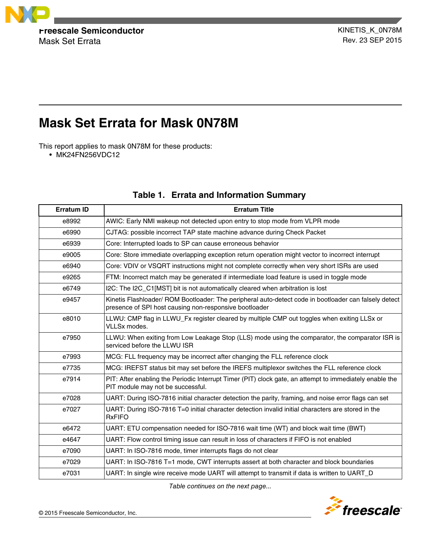

**Freescale Semiconductor Freescale Semiconductor**<br>Mask Set Frrata Mask Set Errata

# **Mask Set Errata for Mask 0N78M**

This report applies to mask 0N78M for these products:

• MK24FN256VDC12

| <b>Erratum ID</b> | <b>Erratum Title</b>                                                                                                                                            |
|-------------------|-----------------------------------------------------------------------------------------------------------------------------------------------------------------|
| e8992             | AWIC: Early NMI wakeup not detected upon entry to stop mode from VLPR mode                                                                                      |
| e6990             | CJTAG: possible incorrect TAP state machine advance during Check Packet                                                                                         |
| e6939             | Core: Interrupted loads to SP can cause erroneous behavior                                                                                                      |
| e9005             | Core: Store immediate overlapping exception return operation might vector to incorrect interrupt                                                                |
| e6940             | Core: VDIV or VSQRT instructions might not complete correctly when very short ISRs are used                                                                     |
| e9265             | FTM: Incorrect match may be generated if intermediate load feature is used in toggle mode                                                                       |
| e6749             | I2C: The I2C_C1[MST] bit is not automatically cleared when arbitration is lost                                                                                  |
| e9457             | Kinetis Flashloader/ ROM Bootloader: The peripheral auto-detect code in bootloader can falsely detect<br>presence of SPI host causing non-responsive bootloader |
| e8010             | LLWU: CMP flag in LLWU_Fx register cleared by multiple CMP out toggles when exiting LLSx or<br><b>VLLSx modes.</b>                                              |
| e7950             | LLWU: When exiting from Low Leakage Stop (LLS) mode using the comparator, the comparator ISR is<br>serviced before the LLWU ISR                                 |
| e7993             | MCG: FLL frequency may be incorrect after changing the FLL reference clock                                                                                      |
| e7735             | MCG: IREFST status bit may set before the IREFS multiplexor switches the FLL reference clock                                                                    |
| e7914             | PIT: After enabling the Periodic Interrupt Timer (PIT) clock gate, an attempt to immediately enable the<br>PIT module may not be successful.                    |
| e7028             | UART: During ISO-7816 initial character detection the parity, framing, and noise error flags can set                                                            |
| e7027             | UART: During ISO-7816 T=0 initial character detection invalid initial characters are stored in the<br><b>RxFIFO</b>                                             |
| e6472             | UART: ETU compensation needed for ISO-7816 wait time (WT) and block wait time (BWT)                                                                             |
| e4647             | UART: Flow control timing issue can result in loss of characters if FIFO is not enabled                                                                         |
| e7090             | UART: In ISO-7816 mode, timer interrupts flags do not clear                                                                                                     |
| e7029             | UART: In ISO-7816 T=1 mode, CWT interrupts assert at both character and block boundaries                                                                        |
| e7031             | UART: In single wire receive mode UART will attempt to transmit if data is written to UART_D                                                                    |

# **Table 1. Errata and Information Summary**

*Table continues on the next page...*

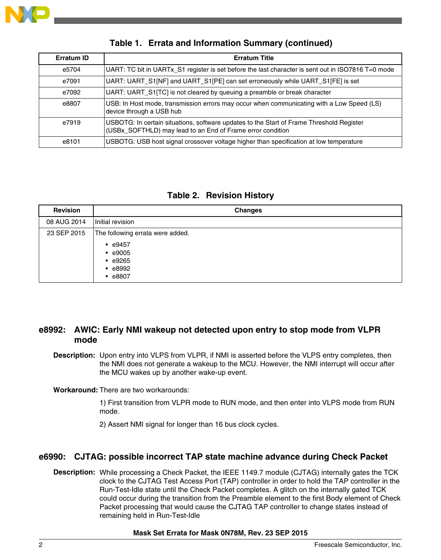

| Erratum ID | <b>Erratum Title</b>                                                                                                                                   |
|------------|--------------------------------------------------------------------------------------------------------------------------------------------------------|
| e5704      | UART: TC bit in UARTx_S1 register is set before the last character is sent out in ISO7816 T=0 mode                                                     |
| e7091      | UART: UART_S1[NF] and UART_S1[PE] can set erroneously while UART_S1[FE] is set                                                                         |
| e7092      | UART: UART_S1[TC] is not cleared by queuing a preamble or break character                                                                              |
| e8807      | USB: In Host mode, transmission errors may occur when communicating with a Low Speed (LS)<br>device through a USB hub                                  |
| e7919      | USBOTG: In certain situations, software updates to the Start of Frame Threshold Register<br>(USBx_SOFTHLD) may lead to an End of Frame error condition |
| e8101      | USBOTG: USB host signal crossover voltage higher than specification at low temperature                                                                 |

## **Table 1. Errata and Information Summary (continued)**

|  | <b>Table 2. Revision History</b> |  |
|--|----------------------------------|--|
|--|----------------------------------|--|

| <b>Revision</b> | <b>Changes</b>                                                                                                  |
|-----------------|-----------------------------------------------------------------------------------------------------------------|
| 08 AUG 2014     | Initial revision                                                                                                |
| 23 SEP 2015     | The following errata were added.<br>$\cdot$ e9457<br>$\cdot$ e9005<br>$\cdot$ e9265<br>$\cdot$ e8992<br>• 68807 |

## **e8992: AWIC: Early NMI wakeup not detected upon entry to stop mode from VLPR mode**

**Description:** Upon entry into VLPS from VLPR, if NMI is asserted before the VLPS entry completes, then the NMI does not generate a wakeup to the MCU. However, the NMI interrupt will occur after the MCU wakes up by another wake-up event.

**Workaround:** There are two workarounds:

1) First transition from VLPR mode to RUN mode, and then enter into VLPS mode from RUN mode.

2) Assert NMI signal for longer than 16 bus clock cycles.

## **e6990: CJTAG: possible incorrect TAP state machine advance during Check Packet**

**Description:** While processing a Check Packet, the IEEE 1149.7 module (CJTAG) internally gates the TCK clock to the CJTAG Test Access Port (TAP) controller in order to hold the TAP controller in the Run-Test-Idle state until the Check Packet completes. A glitch on the internally gated TCK could occur during the transition from the Preamble element to the first Body element of Check Packet processing that would cause the CJTAG TAP controller to change states instead of remaining held in Run-Test-Idle

#### **Mask Set Errata for Mask 0N78M, Rev. 23 SEP 2015**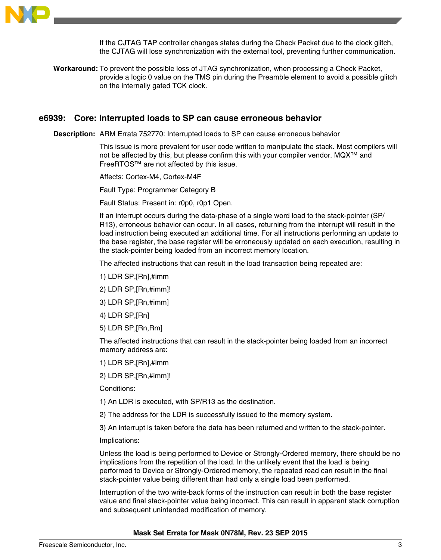

If the CJTAG TAP controller changes states during the Check Packet due to the clock glitch, the CJTAG will lose synchronization with the external tool, preventing further communication.

**Workaround:** To prevent the possible loss of JTAG synchronization, when processing a Check Packet, provide a logic 0 value on the TMS pin during the Preamble element to avoid a possible glitch on the internally gated TCK clock.

#### **e6939: Core: Interrupted loads to SP can cause erroneous behavior**

**Description:** ARM Errata 752770: Interrupted loads to SP can cause erroneous behavior

This issue is more prevalent for user code written to manipulate the stack. Most compilers will not be affected by this, but please confirm this with your compiler vendor. MQX™ and FreeRTOS™ are not affected by this issue.

Affects: Cortex-M4, Cortex-M4F

Fault Type: Programmer Category B

Fault Status: Present in: r0p0, r0p1 Open.

If an interrupt occurs during the data-phase of a single word load to the stack-pointer (SP/ R13), erroneous behavior can occur. In all cases, returning from the interrupt will result in the load instruction being executed an additional time. For all instructions performing an update to the base register, the base register will be erroneously updated on each execution, resulting in the stack-pointer being loaded from an incorrect memory location.

The affected instructions that can result in the load transaction being repeated are:

- 1) LDR SP,[Rn],#imm
- 2) LDR SP,[Rn,#imm]!
- 3) LDR SP,[Rn,#imm]
- 4) LDR SP,[Rn]
- 5) LDR SP,[Rn,Rm]

The affected instructions that can result in the stack-pointer being loaded from an incorrect memory address are:

- 1) LDR SP,[Rn],#imm
- 2) LDR SP,[Rn,#imm]!

Conditions:

- 1) An LDR is executed, with SP/R13 as the destination.
- 2) The address for the LDR is successfully issued to the memory system.

3) An interrupt is taken before the data has been returned and written to the stack-pointer.

Implications:

Unless the load is being performed to Device or Strongly-Ordered memory, there should be no implications from the repetition of the load. In the unlikely event that the load is being performed to Device or Strongly-Ordered memory, the repeated read can result in the final stack-pointer value being different than had only a single load been performed.

Interruption of the two write-back forms of the instruction can result in both the base register value and final stack-pointer value being incorrect. This can result in apparent stack corruption and subsequent unintended modification of memory.

#### **Mask Set Errata for Mask 0N78M, Rev. 23 SEP 2015**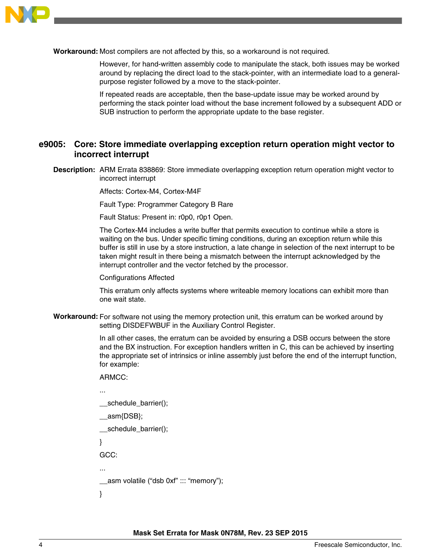

**Workaround:** Most compilers are not affected by this, so a workaround is not required.

However, for hand-written assembly code to manipulate the stack, both issues may be worked around by replacing the direct load to the stack-pointer, with an intermediate load to a generalpurpose register followed by a move to the stack-pointer.

If repeated reads are acceptable, then the base-update issue may be worked around by performing the stack pointer load without the base increment followed by a subsequent ADD or SUB instruction to perform the appropriate update to the base register.

## **e9005: Core: Store immediate overlapping exception return operation might vector to incorrect interrupt**

**Description:** ARM Errata 838869: Store immediate overlapping exception return operation might vector to incorrect interrupt

Affects: Cortex-M4, Cortex-M4F

Fault Type: Programmer Category B Rare

Fault Status: Present in: r0p0, r0p1 Open.

The Cortex-M4 includes a write buffer that permits execution to continue while a store is waiting on the bus. Under specific timing conditions, during an exception return while this buffer is still in use by a store instruction, a late change in selection of the next interrupt to be taken might result in there being a mismatch between the interrupt acknowledged by the interrupt controller and the vector fetched by the processor.

Configurations Affected

This erratum only affects systems where writeable memory locations can exhibit more than one wait state.

**Workaround:** For software not using the memory protection unit, this erratum can be worked around by setting DISDEFWBUF in the Auxiliary Control Register.

> In all other cases, the erratum can be avoided by ensuring a DSB occurs between the store and the BX instruction. For exception handlers written in C, this can be achieved by inserting the appropriate set of intrinsics or inline assembly just before the end of the interrupt function, for example:

```
ARMCC:
```

```
...
 schedule_barrier();
 asm{DSB};
  __schedule_barrier();
}
GCC:
...
__asm volatile ("dsb 0xf" ::: "memory");
}
```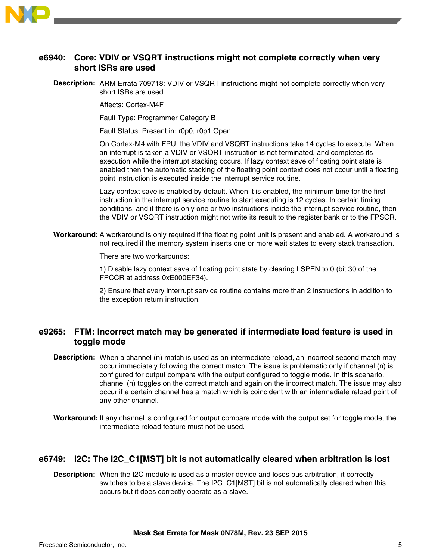

## **e6940: Core: VDIV or VSQRT instructions might not complete correctly when very short ISRs are used**

**Description:** ARM Errata 709718: VDIV or VSQRT instructions might not complete correctly when very short ISRs are used

Affects: Cortex-M4F

Fault Type: Programmer Category B

Fault Status: Present in: r0p0, r0p1 Open.

On Cortex-M4 with FPU, the VDIV and VSQRT instructions take 14 cycles to execute. When an interrupt is taken a VDIV or VSQRT instruction is not terminated, and completes its execution while the interrupt stacking occurs. If lazy context save of floating point state is enabled then the automatic stacking of the floating point context does not occur until a floating point instruction is executed inside the interrupt service routine.

Lazy context save is enabled by default. When it is enabled, the minimum time for the first instruction in the interrupt service routine to start executing is 12 cycles. In certain timing conditions, and if there is only one or two instructions inside the interrupt service routine, then the VDIV or VSQRT instruction might not write its result to the register bank or to the FPSCR.

**Workaround:** A workaround is only required if the floating point unit is present and enabled. A workaround is not required if the memory system inserts one or more wait states to every stack transaction.

There are two workarounds:

1) Disable lazy context save of floating point state by clearing LSPEN to 0 (bit 30 of the FPCCR at address 0xE000EF34).

2) Ensure that every interrupt service routine contains more than 2 instructions in addition to the exception return instruction.

## **e9265: FTM: Incorrect match may be generated if intermediate load feature is used in toggle mode**

- **Description:** When a channel (n) match is used as an intermediate reload, an incorrect second match may occur immediately following the correct match. The issue is problematic only if channel (n) is configured for output compare with the output configured to toggle mode. In this scenario, channel (n) toggles on the correct match and again on the incorrect match. The issue may also occur if a certain channel has a match which is coincident with an intermediate reload point of any other channel.
- **Workaround:** If any channel is configured for output compare mode with the output set for toggle mode, the intermediate reload feature must not be used.

## **e6749: I2C: The I2C\_C1[MST] bit is not automatically cleared when arbitration is lost**

**Description:** When the I2C module is used as a master device and loses bus arbitration, it correctly switches to be a slave device. The I2C\_C1[MST] bit is not automatically cleared when this occurs but it does correctly operate as a slave.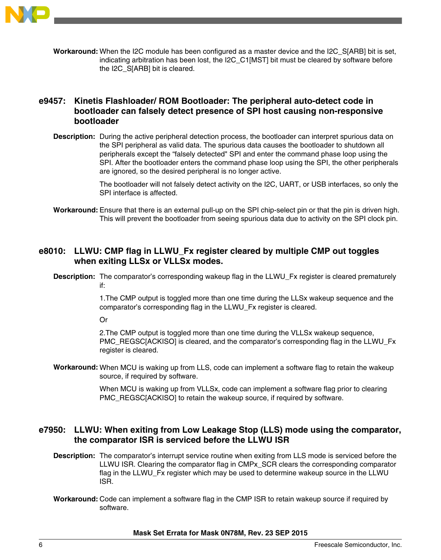

**Workaround:** When the I2C module has been configured as a master device and the I2C\_S[ARB] bit is set, indicating arbitration has been lost, the I2C\_C1[MST] bit must be cleared by software before the I2C\_S[ARB] bit is cleared.

## **e9457: Kinetis Flashloader/ ROM Bootloader: The peripheral auto-detect code in bootloader can falsely detect presence of SPI host causing non-responsive bootloader**

**Description:** During the active peripheral detection process, the bootloader can interpret spurious data on the SPI peripheral as valid data. The spurious data causes the bootloader to shutdown all peripherals except the "falsely detected" SPI and enter the command phase loop using the SPI. After the bootloader enters the command phase loop using the SPI, the other peripherals are ignored, so the desired peripheral is no longer active.

> The bootloader will not falsely detect activity on the I2C, UART, or USB interfaces, so only the SPI interface is affected.

**Workaround:** Ensure that there is an external pull-up on the SPI chip-select pin or that the pin is driven high. This will prevent the bootloader from seeing spurious data due to activity on the SPI clock pin.

## **e8010: LLWU: CMP flag in LLWU\_Fx register cleared by multiple CMP out toggles when exiting LLSx or VLLSx modes.**

**Description:** The comparator's corresponding wakeup flag in the LLWU\_Fx register is cleared prematurely if:

> 1.The CMP output is toggled more than one time during the LLSx wakeup sequence and the comparator's corresponding flag in the LLWU\_Fx register is cleared.

Or

2.The CMP output is toggled more than one time during the VLLSx wakeup sequence, PMC\_REGSC[ACKISO] is cleared, and the comparator's corresponding flag in the LLWU\_Fx register is cleared.

**Workaround:** When MCU is waking up from LLS, code can implement a software flag to retain the wakeup source, if required by software.

> When MCU is waking up from VLLSx, code can implement a software flag prior to clearing PMC\_REGSC[ACKISO] to retain the wakeup source, if required by software.

## **e7950: LLWU: When exiting from Low Leakage Stop (LLS) mode using the comparator, the comparator ISR is serviced before the LLWU ISR**

- **Description:** The comparator's interrupt service routine when exiting from LLS mode is serviced before the LLWU ISR. Clearing the comparator flag in CMPx\_SCR clears the corresponding comparator flag in the LLWU\_Fx register which may be used to determine wakeup source in the LLWU ISR.
- **Workaround:** Code can implement a software flag in the CMP ISR to retain wakeup source if required by software.

**Mask Set Errata for Mask 0N78M, Rev. 23 SEP 2015**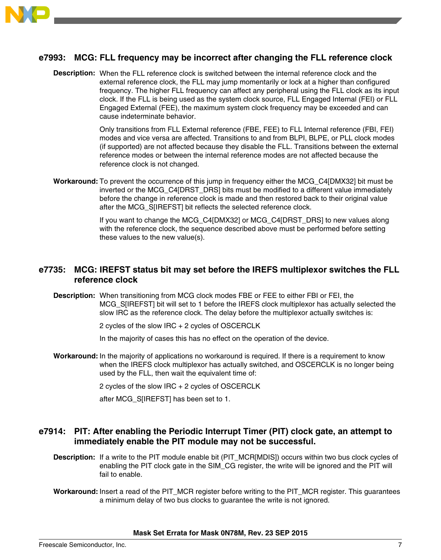

## **e7993: MCG: FLL frequency may be incorrect after changing the FLL reference clock**

**Description:** When the FLL reference clock is switched between the internal reference clock and the external reference clock, the FLL may jump momentarily or lock at a higher than configured frequency. The higher FLL frequency can affect any peripheral using the FLL clock as its input clock. If the FLL is being used as the system clock source, FLL Engaged Internal (FEI) or FLL Engaged External (FEE), the maximum system clock frequency may be exceeded and can cause indeterminate behavior.

> Only transitions from FLL External reference (FBE, FEE) to FLL Internal reference (FBI, FEI) modes and vice versa are affected. Transitions to and from BLPI, BLPE, or PLL clock modes (if supported) are not affected because they disable the FLL. Transitions between the external reference modes or between the internal reference modes are not affected because the reference clock is not changed.

**Workaround:** To prevent the occurrence of this jump in frequency either the MCG\_C4[DMX32] bit must be inverted or the MCG\_C4[DRST\_DRS] bits must be modified to a different value immediately before the change in reference clock is made and then restored back to their original value after the MCG S[IREFST] bit reflects the selected reference clock.

> If you want to change the MCG\_C4[DMX32] or MCG\_C4[DRST\_DRS] to new values along with the reference clock, the sequence described above must be performed before setting these values to the new value(s).

## **e7735: MCG: IREFST status bit may set before the IREFS multiplexor switches the FLL reference clock**

**Description:** When transitioning from MCG clock modes FBE or FEE to either FBI or FEI, the MCG S[IREFST] bit will set to 1 before the IREFS clock multiplexor has actually selected the slow IRC as the reference clock. The delay before the multiplexor actually switches is:

2 cycles of the slow IRC + 2 cycles of OSCERCLK

In the majority of cases this has no effect on the operation of the device.

**Workaround:** In the majority of applications no workaround is required. If there is a requirement to know when the IREFS clock multiplexor has actually switched, and OSCERCLK is no longer being used by the FLL, then wait the equivalent time of:

2 cycles of the slow IRC + 2 cycles of OSCERCLK

after MCG\_S[IREFST] has been set to 1.

## **e7914: PIT: After enabling the Periodic Interrupt Timer (PIT) clock gate, an attempt to immediately enable the PIT module may not be successful.**

- **Description:** If a write to the PIT module enable bit (PIT\_MCR[MDIS]) occurs within two bus clock cycles of enabling the PIT clock gate in the SIM\_CG register, the write will be ignored and the PIT will fail to enable.
- Workaround: Insert a read of the PIT\_MCR register before writing to the PIT\_MCR register. This guarantees a minimum delay of two bus clocks to guarantee the write is not ignored.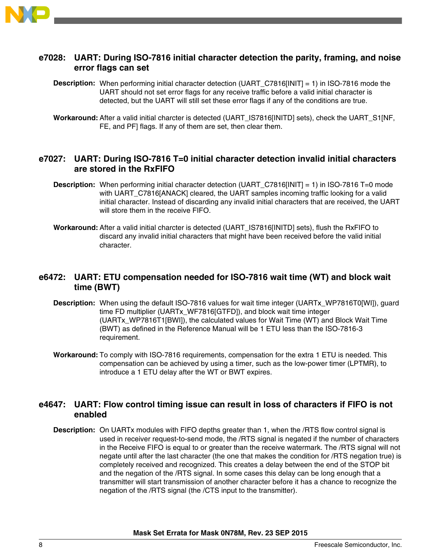

## **e7028: UART: During ISO-7816 initial character detection the parity, framing, and noise error flags can set**

**Description:** When performing initial character detection (UART C7816[INIT] = 1) in ISO-7816 mode the UART should not set error flags for any receive traffic before a valid initial character is detected, but the UART will still set these error flags if any of the conditions are true.

**Workaround:** After a valid initial charcter is detected (UART\_IS7816[INITD] sets), check the UART\_S1[NF, FE, and PF] flags. If any of them are set, then clear them.

## **e7027: UART: During ISO-7816 T=0 initial character detection invalid initial characters are stored in the RxFIFO**

- **Description:** When performing initial character detection (UART\_C7816[INIT] = 1) in ISO-7816 T=0 mode with UART\_C7816[ANACK] cleared, the UART samples incoming traffic looking for a valid initial character. Instead of discarding any invalid initial characters that are received, the UART will store them in the receive FIFO.
- **Workaround:** After a valid initial charcter is detected (UART\_IS7816[INITD] sets), flush the RxFIFO to discard any invalid initial characters that might have been received before the valid initial character.

## **e6472: UART: ETU compensation needed for ISO-7816 wait time (WT) and block wait time (BWT)**

- **Description:** When using the default ISO-7816 values for wait time integer (UARTx\_WP7816T0[WI]), guard time FD multiplier (UARTx\_WF7816[GTFD]), and block wait time integer (UARTx\_WP7816T1[BWI]), the calculated values for Wait Time (WT) and Block Wait Time (BWT) as defined in the Reference Manual will be 1 ETU less than the ISO-7816-3 requirement.
- **Workaround:** To comply with ISO-7816 requirements, compensation for the extra 1 ETU is needed. This compensation can be achieved by using a timer, such as the low-power timer (LPTMR), to introduce a 1 ETU delay after the WT or BWT expires.

## **e4647: UART: Flow control timing issue can result in loss of characters if FIFO is not enabled**

**Description:** On UARTx modules with FIFO depths greater than 1, when the /RTS flow control signal is used in receiver request-to-send mode, the /RTS signal is negated if the number of characters in the Receive FIFO is equal to or greater than the receive watermark. The /RTS signal will not negate until after the last character (the one that makes the condition for /RTS negation true) is completely received and recognized. This creates a delay between the end of the STOP bit and the negation of the /RTS signal. In some cases this delay can be long enough that a transmitter will start transmission of another character before it has a chance to recognize the negation of the /RTS signal (the /CTS input to the transmitter).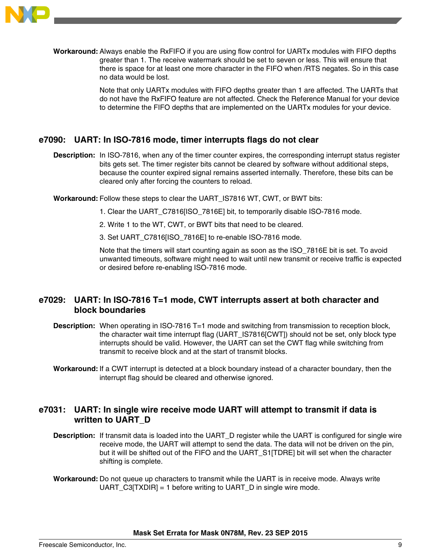

**Workaround:** Always enable the RxFIFO if you are using flow control for UARTx modules with FIFO depths greater than 1. The receive watermark should be set to seven or less. This will ensure that there is space for at least one more character in the FIFO when /RTS negates. So in this case no data would be lost.

> Note that only UARTx modules with FIFO depths greater than 1 are affected. The UARTs that do not have the RxFIFO feature are not affected. Check the Reference Manual for your device to determine the FIFO depths that are implemented on the UARTx modules for your device.

## **e7090: UART: In ISO-7816 mode, timer interrupts flags do not clear**

- **Description:** In ISO-7816, when any of the timer counter expires, the corresponding interrupt status register bits gets set. The timer register bits cannot be cleared by software without additional steps, because the counter expired signal remains asserted internally. Therefore, these bits can be cleared only after forcing the counters to reload.
- **Workaround:** Follow these steps to clear the UART\_IS7816 WT, CWT, or BWT bits:
	- 1. Clear the UART\_C7816[ISO\_7816E] bit, to temporarily disable ISO-7816 mode.
	- 2. Write 1 to the WT, CWT, or BWT bits that need to be cleared.
	- 3. Set UART\_C7816[ISO\_7816E] to re-enable ISO-7816 mode.

Note that the timers will start counting again as soon as the ISO\_7816E bit is set. To avoid unwanted timeouts, software might need to wait until new transmit or receive traffic is expected or desired before re-enabling ISO-7816 mode.

## **e7029: UART: In ISO-7816 T=1 mode, CWT interrupts assert at both character and block boundaries**

- **Description:** When operating in ISO-7816 T=1 mode and switching from transmission to reception block, the character wait time interrupt flag (UART\_IS7816[CWT]) should not be set, only block type interrupts should be valid. However, the UART can set the CWT flag while switching from transmit to receive block and at the start of transmit blocks.
- **Workaround:** If a CWT interrupt is detected at a block boundary instead of a character boundary, then the interrupt flag should be cleared and otherwise ignored.

## **e7031: UART: In single wire receive mode UART will attempt to transmit if data is written to UART\_D**

- **Description:** If transmit data is loaded into the UART\_D register while the UART is configured for single wire receive mode, the UART will attempt to send the data. The data will not be driven on the pin, but it will be shifted out of the FIFO and the UART\_S1[TDRE] bit will set when the character shifting is complete.
- **Workaround:** Do not queue up characters to transmit while the UART is in receive mode. Always write UART  $C3[TXDIR] = 1$  before writing to UART D in single wire mode.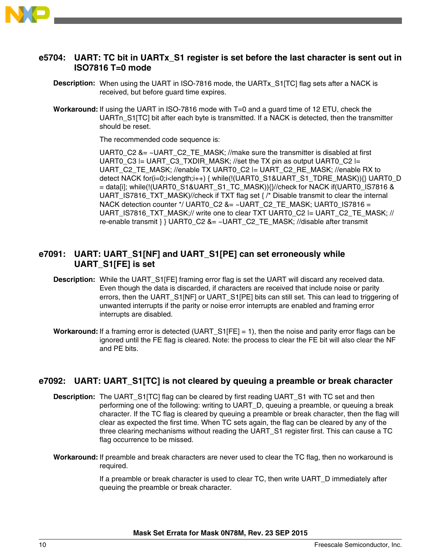

## **e5704: UART: TC bit in UARTx\_S1 register is set before the last character is sent out in ISO7816 T=0 mode**

- **Description:** When using the UART in ISO-7816 mode, the UARTx\_S1[TC] flag sets after a NACK is received, but before guard time expires.
- **Workaround:** If using the UART in ISO-7816 mode with T=0 and a guard time of 12 ETU, check the UARTn S1[TC] bit after each byte is transmitted. If a NACK is detected, then the transmitter should be reset.

The recommended code sequence is:

UART0  $C2$  &= ~UART  $C2$  TE MASK; //make sure the transmitter is disabled at first UART0\_C3 |= UART\_C3\_TXDIR\_MASK; //set the TX pin as output UART0\_C2 |= UART\_C2\_TE\_MASK; //enable TX UART0\_C2 |= UART\_C2\_RE\_MASK; //enable RX to detect NACK for(i=0;i<length;i++) { while(!(UART0\_S1&UART\_S1\_TDRE\_MASK)){} UART0\_D = data[i]; while(!(UART0\_S1&UART\_S1\_TC\_MASK)){}//check for NACK if(UART0\_IS7816 & UART\_IS7816\_TXT\_MASK)//check if TXT flag set  ${ / *}$  Disable transmit to clear the internal NACK detection counter \*/ UART0\_C2 &= ~UART\_C2\_TE\_MASK; UART0\_IS7816 = UART\_IS7816\_TXT\_MASK;// write one to clear TXT UART0\_C2 |= UART\_C2\_TE\_MASK; // re-enable transmit } } UART0 C2 &= ~UART C2 TE\_MASK; //disable after transmit

## **e7091: UART: UART\_S1[NF] and UART\_S1[PE] can set erroneously while UART\_S1[FE] is set**

- **Description:** While the UART S1[FE] framing error flag is set the UART will discard any received data. Even though the data is discarded, if characters are received that include noise or parity errors, then the UART\_S1[NF] or UART\_S1[PE] bits can still set. This can lead to triggering of unwanted interrupts if the parity or noise error interrupts are enabled and framing error interrupts are disabled.
- **Workaround:** If a framing error is detected (UART\_S1[FE] = 1), then the noise and parity error flags can be ignored until the FE flag is cleared. Note: the process to clear the FE bit will also clear the NF and PE bits.

## **e7092: UART: UART\_S1[TC] is not cleared by queuing a preamble or break character**

- **Description:** The UART S1[TC] flag can be cleared by first reading UART S1 with TC set and then performing one of the following: writing to UART\_D, queuing a preamble, or queuing a break character. If the TC flag is cleared by queuing a preamble or break character, then the flag will clear as expected the first time. When TC sets again, the flag can be cleared by any of the three clearing mechanisms without reading the UART\_S1 register first. This can cause a TC flag occurrence to be missed.
- **Workaround:** If preamble and break characters are never used to clear the TC flag, then no workaround is required.

If a preamble or break character is used to clear TC, then write UART\_D immediately after queuing the preamble or break character.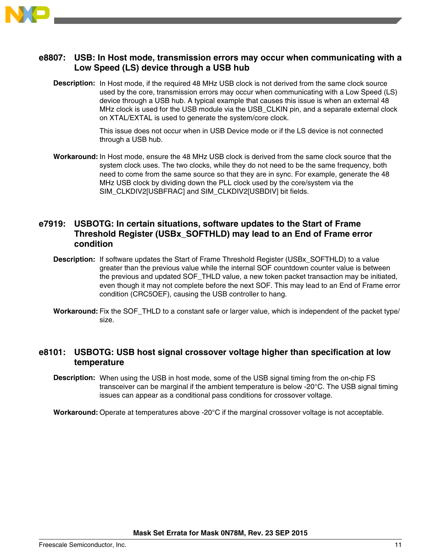

## **e8807: USB: In Host mode, transmission errors may occur when communicating with a Low Speed (LS) device through a USB hub**

**Description:** In Host mode, if the required 48 MHz USB clock is not derived from the same clock source used by the core, transmission errors may occur when communicating with a Low Speed (LS) device through a USB hub. A typical example that causes this issue is when an external 48 MHz clock is used for the USB module via the USB\_CLKIN pin, and a separate external clock on XTAL/EXTAL is used to generate the system/core clock.

> This issue does not occur when in USB Device mode or if the LS device is not connected through a USB hub.

**Workaround:** In Host mode, ensure the 48 MHz USB clock is derived from the same clock source that the system clock uses. The two clocks, while they do not need to be the same frequency, both need to come from the same source so that they are in sync. For example, generate the 48 MHz USB clock by dividing down the PLL clock used by the core/system via the SIM\_CLKDIV2[USBFRAC] and SIM\_CLKDIV2[USBDIV] bit fields.

## **e7919: USBOTG: In certain situations, software updates to the Start of Frame Threshold Register (USBx\_SOFTHLD) may lead to an End of Frame error condition**

- **Description:** If software updates the Start of Frame Threshold Register (USBx SOFTHLD) to a value greater than the previous value while the internal SOF countdown counter value is between the previous and updated SOF\_THLD value, a new token packet transaction may be initiated, even though it may not complete before the next SOF. This may lead to an End of Frame error condition (CRC5OEF), causing the USB controller to hang.
- **Workaround:** Fix the SOF THLD to a constant safe or larger value, which is independent of the packet type/ size.

## **e8101: USBOTG: USB host signal crossover voltage higher than specification at low temperature**

**Description:** When using the USB in host mode, some of the USB signal timing from the on-chip FS transceiver can be marginal if the ambient temperature is below -20°C. The USB signal timing issues can appear as a conditional pass conditions for crossover voltage.

**Workaround:** Operate at temperatures above -20°C if the marginal crossover voltage is not acceptable.